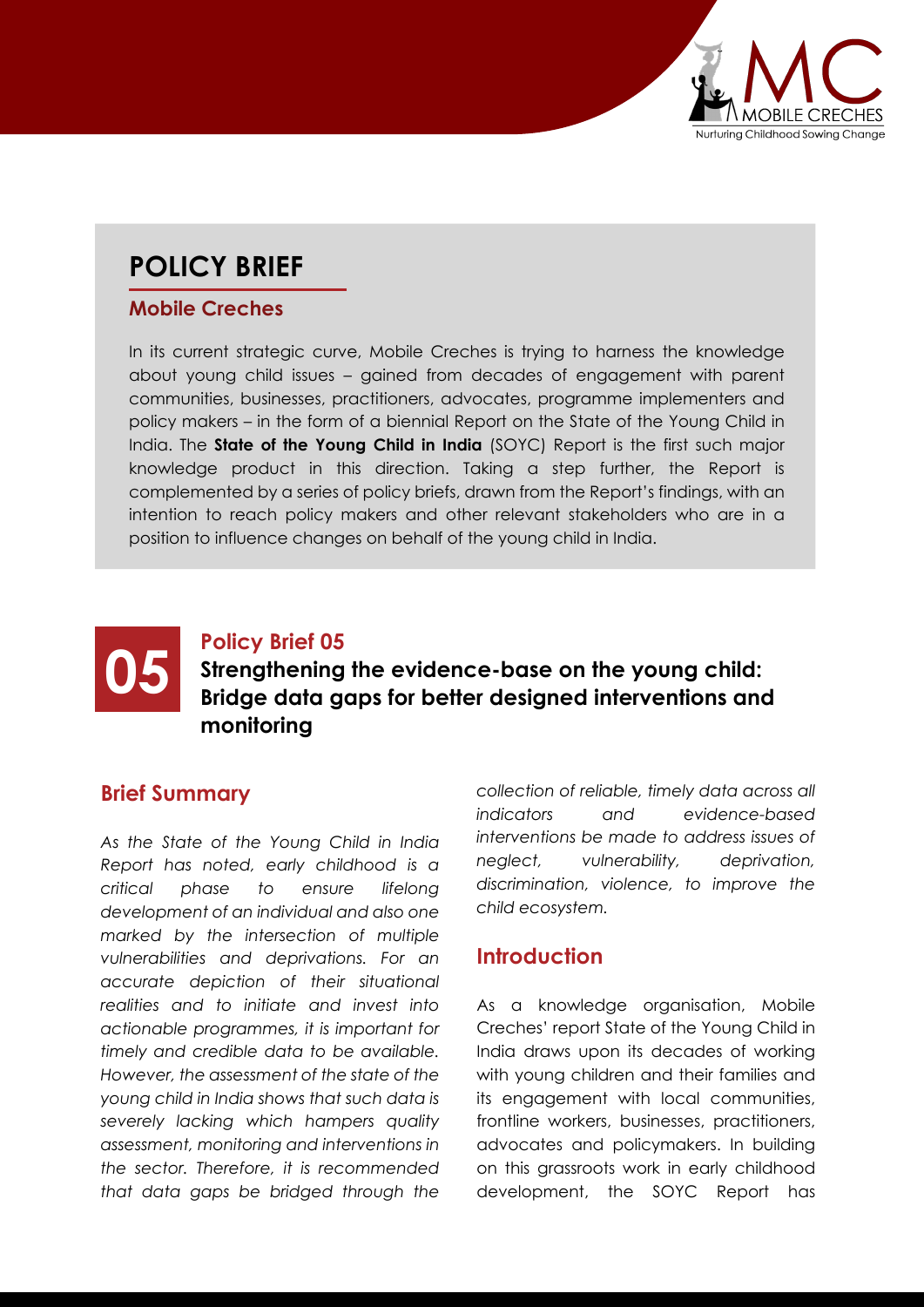

## **POLICY BRIEF**

#### **Mobile Creches**

In its current strategic curve, Mobile Creches is trying to harness the knowledge about young child issues – gained from decades of engagement with parent communities, businesses, practitioners, advocates, programme implementers and policy makers – in the form of a biennial Report on the State of the Young Child in India. The **State of the Young Child in India** (SOYC) Report is the first such major knowledge product in this direction. Taking a step further, the Report is complemented by a series of policy briefs, drawn from the Report's findings, with an intention to reach policy makers and other relevant stakeholders who are in a position to influence changes on behalf of the young child in India.



# **05** Policy Brief 05<br>Bridge data gaps for better designed interventions and<br>Bridge data gaps for better designed interventions and **Strengthening the evidence-base on the young child: monitoring**

#### **Brief Summary**

*As the State of the Young Child in India Report has noted, early childhood is a critical phase to ensure lifelong development of an individual and also one marked by the intersection of multiple vulnerabilities and deprivations. For an accurate depiction of their situational realities and to initiate and invest into actionable programmes, it is important for timely and credible data to be available. However, the assessment of the state of the young child in India shows that such data is severely lacking which hampers quality assessment, monitoring and interventions in the sector. Therefore, it is recommended that data gaps be bridged through the* 

*collection of reliable, timely data across all indicators and evidence-based interventions be made to address issues of neglect, vulnerability, deprivation, discrimination, violence, to improve the child ecosystem.*

#### **Introduction**

As a knowledge organisation, Mobile Creches' report State of the Young Child in India draws upon its decades of working with young children and their families and its engagement with local communities, frontline workers, businesses, practitioners, advocates and policymakers. In building on this grassroots work in early childhood development, the SOYC Report has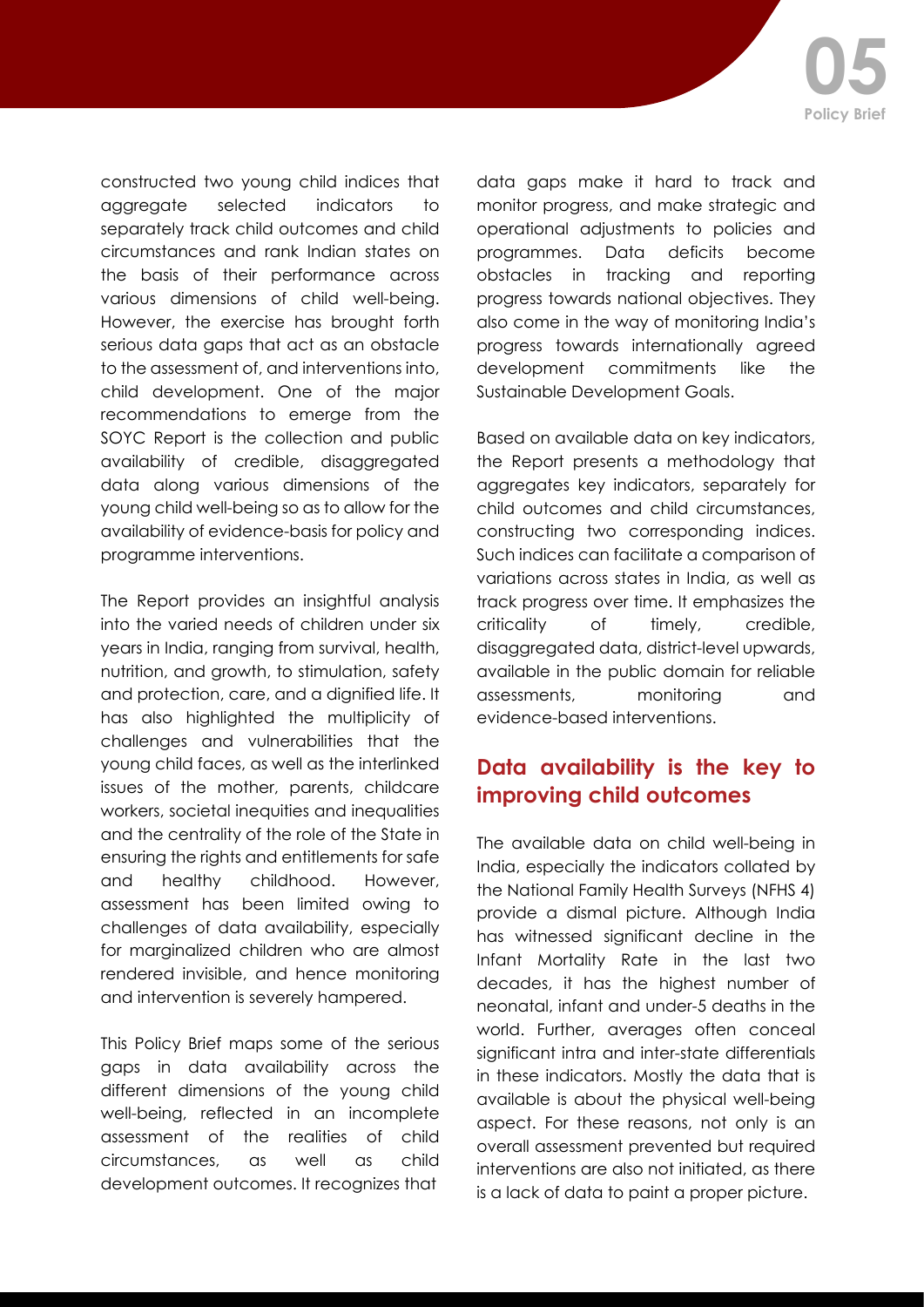constructed two young child indices that aggregate selected indicators to separately track child outcomes and child circumstances and rank Indian states on the basis of their performance across various dimensions of child well-being. However, the exercise has brought forth serious data gaps that act as an obstacle to the assessment of, and interventions into, child development. One of the major recommendations to emerge from the SOYC Report is the collection and public availability of credible, disaggregated data along various dimensions of the young child well-being so as to allow for the availability of evidence-basis for policy and programme interventions.

The Report provides an insightful analysis into the varied needs of children under six years in India, ranging from survival, health, nutrition, and growth, to stimulation, safety and protection, care, and a dignified life. It has also highlighted the multiplicity of challenges and vulnerabilities that the young child faces, as well as the interlinked issues of the mother, parents, childcare workers, societal inequities and inequalities and the centrality of the role of the State in ensuring the rights and entitlements for safe and healthy childhood. However, assessment has been limited owing to challenges of data availability, especially for marginalized children who are almost rendered invisible, and hence monitoring and intervention is severely hampered.

This Policy Brief maps some of the serious gaps in data availability across the different dimensions of the young child well-being, reflected in an incomplete assessment of the realities of child circumstances, as well as child development outcomes. It recognizes that

data gaps make it hard to track and monitor progress, and make strategic and operational adjustments to policies and programmes. Data deficits become obstacles in tracking and reporting progress towards national objectives. They also come in the way of monitoring India's progress towards internationally agreed development commitments like the Sustainable Development Goals.

Based on available data on key indicators, the Report presents a methodology that aggregates key indicators, separately for child outcomes and child circumstances, constructing two corresponding indices. Such indices can facilitate a comparison of variations across states in India, as well as track progress over time. It emphasizes the criticality of timely, credible, disaggregated data, district-level upwards, available in the public domain for reliable assessments, monitoring and evidence-based interventions.

### **Data availability is the key to improving child outcomes**

The available data on child well-being in India, especially the indicators collated by the National Family Health Surveys (NFHS 4) provide a dismal picture. Although India has witnessed significant decline in the Infant Mortality Rate in the last two decades, it has the highest number of neonatal, infant and under-5 deaths in the world. Further, averages often conceal significant intra and inter-state differentials in these indicators. Mostly the data that is available is about the physical well-being aspect. For these reasons, not only is an overall assessment prevented but required interventions are also not initiated, as there is a lack of data to paint a proper picture.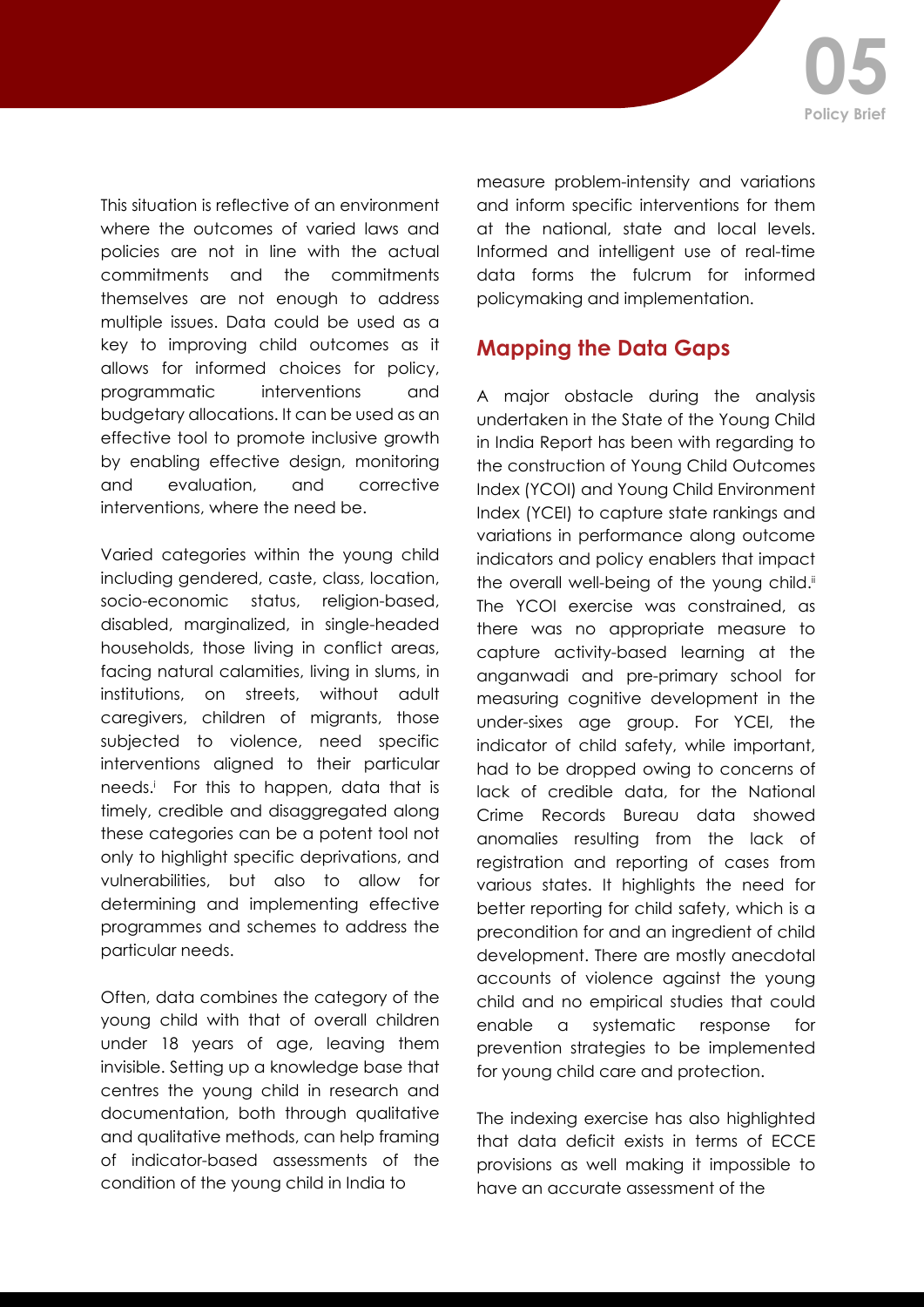This situation is reflective of an environment where the outcomes of varied laws and policies are not in line with the actual commitments and the commitments themselves are not enough to address multiple issues. Data could be used as a key to improving child outcomes as it allows for informed choices for policy, programmatic interventions and budgetary allocations. It can be used as an effective tool to promote inclusive growth by enabling effective design, monitoring and evaluation, and corrective interventions, where the need be.

Varied categories within the young child including gendered, caste, class, location, socio-economic status, religion-based, disabled, marginalized, in single-headed households, those living in conflict areas, facing natural calamities, living in slums, in institutions, on streets, without adult caregivers, children of migrants, those subjected to violence, need specific interventions aligned to their particular needs.i For this to happen, data that is timely, credible and disaggregated along these categories can be a potent tool not only to highlight specific deprivations, and vulnerabilities, but also to allow for determining and implementing effective programmes and schemes to address the particular needs.

Often, data combines the category of the young child with that of overall children under 18 years of age, leaving them invisible. Setting up a knowledge base that centres the young child in research and documentation, both through qualitative and qualitative methods, can help framing of indicator-based assessments of the condition of the young child in India to

measure problem-intensity and variations and inform specific interventions for them at the national, state and local levels. Informed and intelligent use of real-time data forms the fulcrum for informed policymaking and implementation.

### **Mapping the Data Gaps**

A major obstacle during the analysis undertaken in the State of the Young Child in India Report has been with regarding to the construction of Young Child Outcomes Index (YCOI) and Young Child Environment Index (YCEI) to capture state rankings and variations in performance along outcome indicators and policy enablers that impact the overall well-being of the young child.<sup>ii</sup> The YCOI exercise was constrained, as there was no appropriate measure to capture activity-based learning at the anganwadi and pre-primary school for measuring cognitive development in the under-sixes age group. For YCEI, the indicator of child safety, while important, had to be dropped owing to concerns of lack of credible data, for the National Crime Records Bureau data showed anomalies resulting from the lack of registration and reporting of cases from various states. It highlights the need for better reporting for child safety, which is a precondition for and an ingredient of child development. There are mostly anecdotal accounts of violence against the young child and no empirical studies that could enable a systematic response for prevention strategies to be implemented for young child care and protection.

The indexing exercise has also highlighted that data deficit exists in terms of ECCE provisions as well making it impossible to have an accurate assessment of the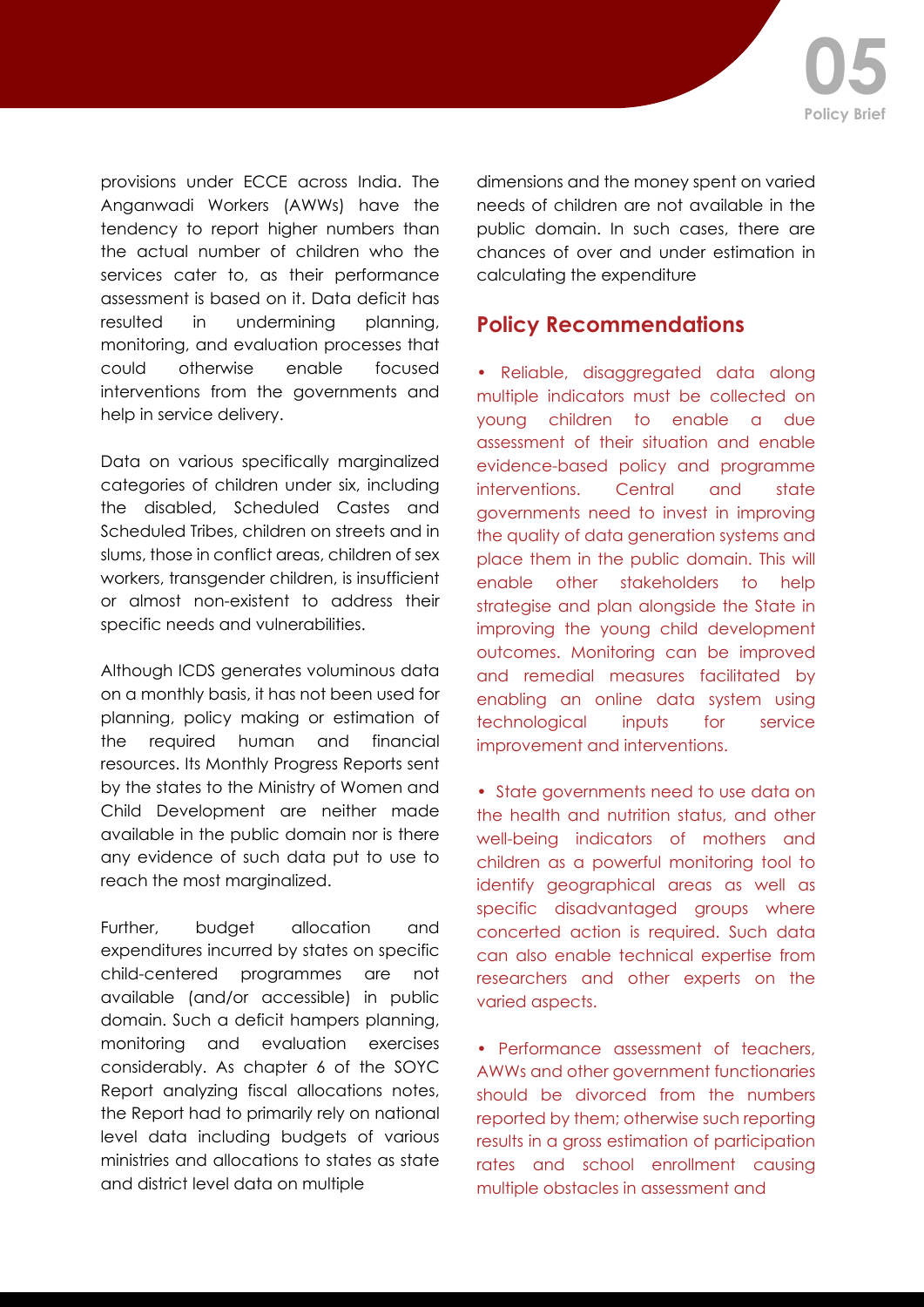provisions under ECCE across India. The Anganwadi Workers (AWWs) have the tendency to report higher numbers than the actual number of children who the services cater to, as their performance assessment is based on it. Data deficit has resulted in undermining planning, monitoring, and evaluation processes that could otherwise enable focused interventions from the governments and help in service delivery.

Data on various specifically marginalized categories of children under six, including the disabled, Scheduled Castes and Scheduled Tribes, children on streets and in slums, those in conflict areas, children of sex workers, transgender children, is insufficient or almost non-existent to address their specific needs and vulnerabilities.

Although ICDS generates voluminous data on a monthly basis, it has not been used for planning, policy making or estimation of the required human and financial resources. Its Monthly Progress Reports sent by the states to the Ministry of Women and Child Development are neither made available in the public domain nor is there any evidence of such data put to use to reach the most marginalized.

Further, budget allocation and expenditures incurred by states on specific child-centered programmes are not available (and/or accessible) in public domain. Such a deficit hampers planning, monitoring and evaluation exercises considerably. As chapter 6 of the SOYC Report analyzing fiscal allocations notes, the Report had to primarily rely on national level data including budgets of various ministries and allocations to states as state and district level data on multiple

dimensions and the money spent on varied needs of children are not available in the public domain. In such cases, there are chances of over and under estimation in calculating the expenditure

#### **Policy Recommendations**

• Reliable, disaggregated data along multiple indicators must be collected on young children to enable a due assessment of their situation and enable evidence-based policy and programme interventions. Central and state governments need to invest in improving the quality of data generation systems and place them in the public domain. This will enable other stakeholders to help strategise and plan alongside the State in improving the young child development outcomes. Monitoring can be improved and remedial measures facilitated by enabling an online data system using technological inputs for service improvement and interventions.

• State governments need to use data on the health and nutrition status, and other well-being indicators of mothers and children as a powerful monitoring tool to identify geographical areas as well as specific disadvantaged groups where concerted action is required. Such data can also enable technical expertise from researchers and other experts on the varied aspects.

• Performance assessment of teachers, AWWs and other government functionaries should be divorced from the numbers reported by them; otherwise such reporting results in a gross estimation of participation rates and school enrollment causing multiple obstacles in assessment and